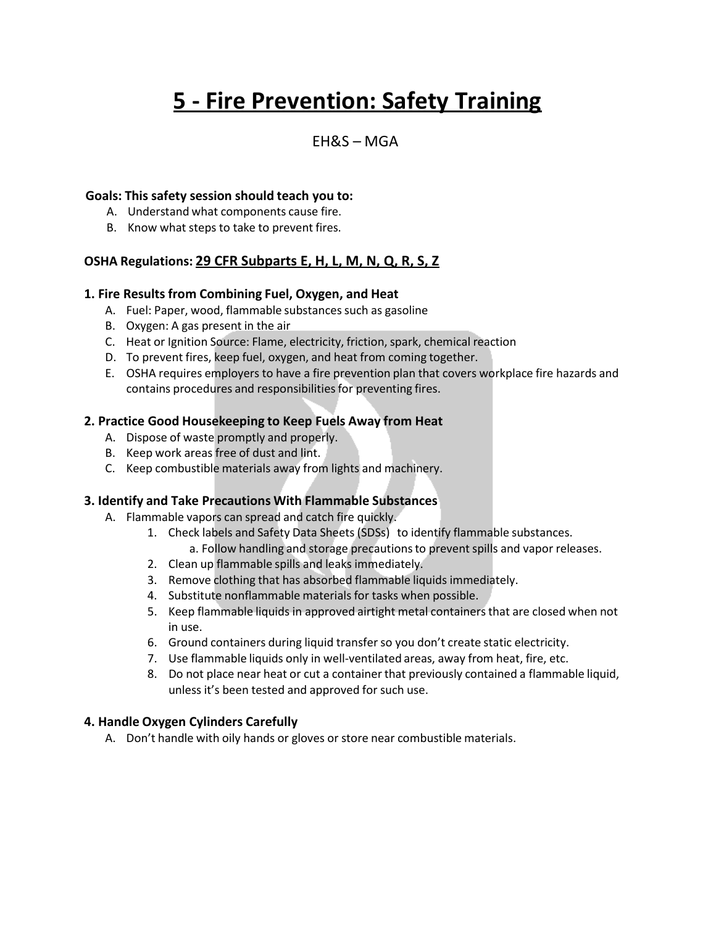# **5 - Fire Prevention: Safety Training**

## EH&S – MGA

#### **Goals: This safety session should teach you to:**

- A. Understand what components cause fire.
- B. Know what steps to take to prevent fires.

#### **OSHA Regulations: 29 CFR Subparts E, H, L, M, N, Q, R, S, Z**

#### **1. Fire Results from Combining Fuel, Oxygen, and Heat**

- A. Fuel: Paper, wood, flammable substances such as gasoline
- B. Oxygen: A gas present in the air
- C. Heat or Ignition Source: Flame, electricity, friction, spark, chemical reaction
- D. To prevent fires, keep fuel, oxygen, and heat from coming together.
- E. OSHA requires employers to have a fire prevention plan that covers workplace fire hazards and contains procedures and responsibilities for preventing fires.

#### **2. Practice Good Housekeeping to Keep Fuels Away from Heat**

- A. Dispose of waste promptly and properly.
- B. Keep work areas free of dust and lint.
- C. Keep combustible materials away from lights and machinery.

#### **3. Identify and Take Precautions With Flammable Substances**

- A. Flammable vapors can spread and catch fire quickly.
	- 1. Check labels and Safety Data Sheets (SDSs) to identify flammable substances.
		- a. Follow handling and storage precautionsto preventspills and vapor releases.
	- 2. Clean up flammable spills and leaks immediately.
	- 3. Remove clothing that has absorbed flammable liquids immediately.
	- 4. Substitute nonflammable materials for tasks when possible.
	- 5. Keep flammable liquids in approved airtight metal containersthat are closed when not in use.
	- 6. Ground containers during liquid transferso you don't create static electricity.
	- 7. Use flammable liquids only in well-ventilated areas, away from heat, fire, etc.
	- 8. Do not place near heat or cut a containerthat previously contained a flammable liquid, unless it's been tested and approved for such use.

#### **4. Handle Oxygen Cylinders Carefully**

A. Don't handle with oily hands or gloves or store near combustible materials.